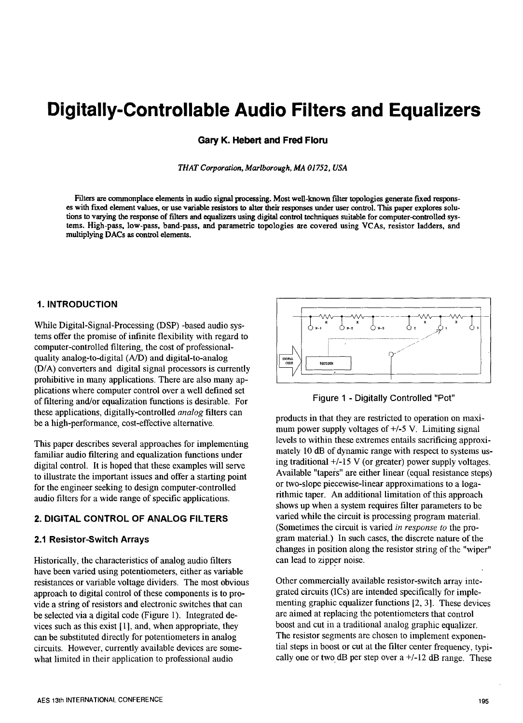# **Digitally-Controllable Audio Filters and Equalizers**

Gary K. Hebert and Fred Floru

THAT Corporation, Marlborough, MA 01752, USA

Filters are commonplace elements in audio signal processing. Most well-known filter topologies generate fixed responses with fixed element values, or use variable resistors to alter their responses under user control. This paper explores solutions to varying the response of filters and equalizers using digital control techniques suitable for computer-controlled systems. High-pass, low-pass, band-pass, and parametric topologies are covered using VCAs, resistor ladders, and multiplying DACs as control elements.

### **1. INTRODUCTION**

While Digital-Signal-Processing (DSP) -based audio systems offer the promise of infinite flexibility with regard to computer-controlled filtering, the cost of professionalquality analog-to-digital (A/D) and digital-to-analog (D/A) converters and digital signal processors is currently prohibitive in many applications. There are also many applications where computer control over a well defined set of filtering and/or equalization functions is desirable. For these applications, digitally-controlled *analog* filters can be a high-performance, cost-effective alternative.

This paper describes several approaches for implementing familiar audio filtering and equalization functions under digital control. It is hoped that these examples will serve to illustrate the important issues and offer a starting point for the engineer seeking to design computer-controlled audio filters for a wide range of specific applications.

### 2. DIGITAL CONTROL OF ANALOG FILTERS

### 2.1 Resistor-Switch Arrays

Historically, the characteristics of analog audio filters have been varied using potentiometers, either as variable resistances or variable voltage dividers. The most obvious approach to digital control of these components is to provide a string of resistors and electronic switches that can be selected via a digital code (Figure 1). Integrated devices such as this exist [1], and, when appropriate, they can be substituted directly for potentiometers in analog circuits. However, currently available devices are somewhat limited in their application to professional audio



Figure 1 - Digitally Controlled "Pot"

products in that they are restricted to operation on maximum power supply voltages of  $+/-5$  V. Limiting signal levels to within these extremes entails sacrificing approximately 10 dB of dynamic range with respect to systems using traditional  $+/-15$  V (or greater) power supply voltages. Available "tapers" are either linear (equal resistance steps) or two-slope piecewise-linear approximations to a logarithmic taper. An additional limitation of this approach shows up when a system requires filter parameters to be varied while the circuit is processing program material. (Sometimes the circuit is varied in response to the program material.) In such cases, the discrete nature of the changes in position along the resistor string of the "wiper" can lead to zipper noise.

Other commercially available resistor-switch array integrated circuits (ICs) are intended specifically for implementing graphic equalizer functions [2, 3]. These devices are aimed at replacing the potentiometers that control boost and cut in a traditional analog graphic equalizer. The resistor segments are chosen to implement exponential steps in boost or cut at the filter center frequency, typically one or two dB per step over  $a +1/2$  dB range. These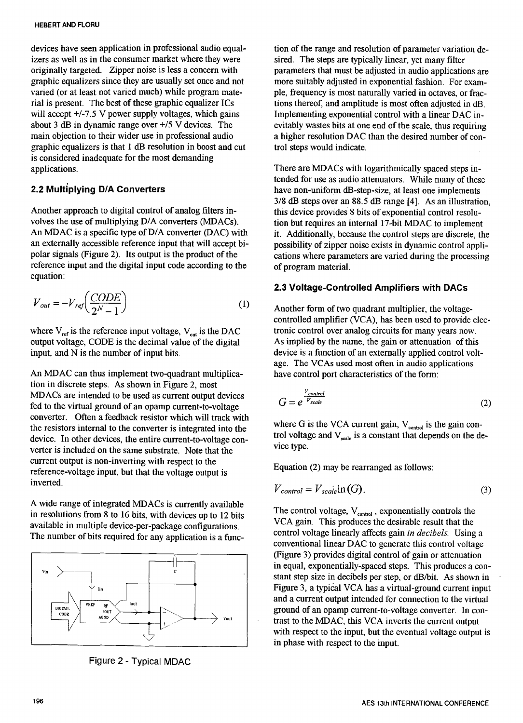devices have seen application in professional audio equal-<br>izers as well as in the consumer market where they were sired. The steps are typically linear, yet many filter izers as well as in the consumer market where they were sired. The steps are typically linear, yet many filter originally targeted. Zipper noise is less a concern with parameters that must be adjusted in audio application graphic equalizers since they are usually set once and not varied (or at least not varied much) while program matevaried (or at least not varied much) while program mate-<br>
ple, frequency is most naturally varied in octaves, or frac-<br>
rial is present. The best of these graphic equalizer ICs<br>
tions thereof, and amplitude is most often a rial is present. The best of these graphic equalizer ICs tions thereof, and amplitude is most often adjusted in dB, will accept  $+/-7.5$  V power supply voltages, which gains Implementing exponential control with a linear DA will accept +/-7.5 V power supply voltages, which gains Implementing exponential control with a linear DAC in-<br>about 3 dB in dynamic range over +/5 V devices. The evitably wastes bits at one end of the scale, thus requirin about 3 dB in dynamic range over  $+$ /5 V devices. The evitably wastes bits at one end of the scale, thus requiring main objection to their wider use in professional audio a higher resolution DAC than the desired number of graphic equalizers is that  $1$  dB resolution in boost and cut is considered inadequate for the most demanding applications. There are MDACs with logarithmically spaced steps in-

Another approach to digital control of analog filters in-<br>volves the use of multiplying D/A converters (MDACs). <br>tion but requires an internal 17-bit MDAC to implement volves the use of multiplying D/A converters (MDACs). the use of the requires an internal 17-bit MDAC to implement<br>An MDAC is a specific type of D/A converter (DAC) with the additionally because the control steps are discr An MDAC is a specific type of D/A converter (DAC) with it. Additionally, because the control steps are discrete, the an externally accessible reference input that will accept bi-<br>nossibility of zinner noise exists in dynam an externally accessible reference input that will accept bi-<br>polar signals (Figure 2). Its output is the product of the cations where parameters are varied during the processing reference input and the digital input code according to the equation:

$$
V_{out} = -V_{ref} \left(\frac{CODE}{2^N - 1}\right) \tag{1}
$$

where  $V_{ref}$  is the reference input voltage,  $V_{out}$  is the DAC tronic control over analog circuits for many years now.<br>output voltage, CODE is the decimal value of the digital As implied by the name, the gain or attenuati output voltage, CODE is the decimal value of the digital input, and  $\tilde{N}$  is the number of input bits.

An MDAC can thus implement two-quadrant multiplica- have control port characteristics of the form: tion in discrete steps. As shown in Figure 2, most MDACs are intended to be used as current output devices fed to the virtual ground of an opamp current-to-voltage converter. Often a feedback resistor which will track with the resistors internal to the converter is integrated into the where G is the VCA current gain,  $V_{\text{control}}$  is the gain con-<br>device. In other devices, the entire current-to-voltage condevice. In other devices, the entire current-to-voltage con-<br>vice type. In other devices on the game substants. Note that the verter is included on the same substrate. Note that the current output is non-inverting with respect to the current output is non-inverting with respect to the Equation (2) may be rearranged as follows:<br>reference-voltage input, but that the voltage output is<br> $\frac{E}{V}$ 

A wide range of integrated MDACs is currently available The control voltage,  $V_{\text{control}}$ , exponentially controls the in resolutions from 8 to 16 bits, with devices up to 12 bits<br>specifically state and the strategy configurations CCA gain. This produces the desirable result that available in multiple device-per-package configurations.<br>The number of hits required for any analiestion is a function of control voltage linearly affects gain in decibels. Using a The number of bits required for any application is a func-



Figure 2 - Typical MDAC

parameters that must be adjusted in audio applications are<br>more suitably adjusted in exponential fashion. For exama higher resolution DAC than the desired number of con-<br>trol steps would indicate.

tended for use as audio attenuators. While many of these *2.2 Mult*i*plying D***/***A Conve*rt*e*rs have n*o*n**-**uniform dB-step**-**size, at least *o*ne implements 3**/**8 dB steps over an 88.5 dB range [4]. As an illustration, cations where parameters are varied during the processing of program material.

# 2.3 Voltage**-**Controlled Amplifiers with DACs

Another form of two quadrant multiplier, the voltagecontrolled amplifier (VCA), has been used to provide electronic control over analog circuits for many years now. device is a function of an externally applied control voltage. The VCAs used most often in audio applications

$$
G = e^{\frac{V_{control}}{V_{scale}}}
$$
 (2)

$$
V_{control} = V_{scale} \ln(G). \tag{3}
$$

conventional linear DAC to generate this control voltage (Figure 3) provides digital control of gain or attenuation<br>in equal, exponentially-spaced steps. This produces a con-<sup>131</sup> stant step size in decibels per step, or dB/bit. As shown in and a current output intended for connection to the virtual ground of an opamp current-to-voltage converter. In con- <sup>Vout</sup> trast to the MDAC, this VCA inverts the current output with respect to the input, but the eventual voltage output is in phase with respect to the input.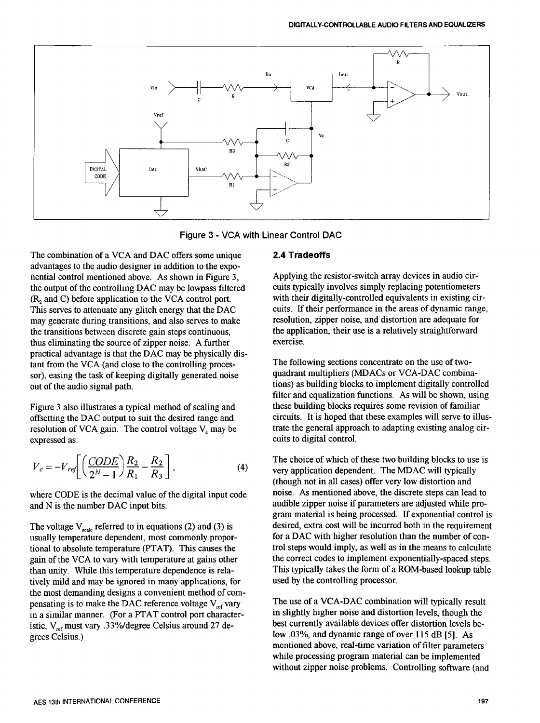

Figure 3 - VGA with Linear Control DAO

The combination of a VCA and DAC offers some unique **2.4 Tradeoffs** advantages to the audio designer in addition to the exponential control mentioned above. As shown in Figure 3, Applying the resistor-switch array devices in audio cir-<br>the output of the controlling DAC may be lowpass filtered cuits typically involves simply replacing potentiome the output of the controlling DAC may be lowpass filtered cuits typically involves simply replacing potentiometers (R, and C) before application to the VCA control port. with their digitally-controlled equivalents in exist  $(R_2$  and C) before application to the VCA control port.<br>This serves to attenuate any glitch energy that the DAC cuits. If their performance in the areas of dynamic range, This serves to attenuate any glitch energy that the DAC cuits. If their performance in the areas of dynamic range may generate during transitions, and also serves to make resolution, zipper noise, and distortion are adequa may generate during transitions, and also serves to make resolution, zipper noise, and distortion are adequate for<br>the transitions between discrete gain steps continuous. The application, their use is a relatively straight the transitions between discrete gain steps continuous, the application of the source of zinner noise. A further exercise, thus eliminating the source of zipper noise. A further practical a*d*vantage is that the DAC may be physically *d*istant from the VCA (and close to the controlling proces-<br>sor) easing the task of keeping digitally generated noise quadrant multipliers (MDACs or VCA-DAC combinasor), easing the task of keeping digitally generated noise out of the audio signal path.

resolution of VCA gain. The control voltage V<sub><sup>c</sub></sup> may be expressed as:</sub>

$$
V_c = -V_{ref} \left[ \left( \frac{CODE}{2^N - 1} \right) \frac{R_2}{R_1} - \frac{R_2}{R_3} \right],
$$
 (4)

than unity. While this temperature dependence is rela-<br>tively mild and may be ignored in many applications, for used by the controlling processor. tively mild and may be ignored in many applications, for the most demanding designs a convenient method of compensating is to make the DAC reference voltage  $V_{ref}$  vary The use of a VCA-DAC combination will typically result<br>in a similar manner. (For a PTAT control port character-<br>in slightly higher noise and distortion levels, th in a similar manner. (For a PTAT control port character-<br>istic V must vary 33%/degree Celsius around 27 de-<br>best currently available devices offer distortion levels beistic, V<sub>ref</sub> must vary .33%/degree Celsius around 27 degrees Celsius.)

tions) as building blocks to implement digitally controlled filter and equalization functions. As will be shown, using these building blocks requires some revision of familiar Figure 3 also illustrates a typical method of scaling and these building blocks requires some revision of familiar<br>offsetting the DAC output to suit the desired range and circuits. It is hoped that these examples will serv offsetting the DAC output to suit the desired range and circuits. It is hoped that these examples will serve to illus-<br>resolution of VCA gain. The control voltage V may be trate the general approach to adapting existing an expressed as: cults t*o* digital contr*o*l.

The choice of which of these two building blocks to use is very application dependent. The MDAC will typically  $V_2^N - I \times R_1$   $R_3$  J  $(1)$  (though not in all cases) offer very low distortion and where CODE is the decimal value of the digital input code noise. As mentioned above, the discrete steps can lead to audible zipper noise if parameters are adjusted while pro-<br>audible zipper noise if parameters are adjusted audible zipper noise if parameters are adjusted while program material is being processed. If exponential control is desired, extra cost will be incurred both in the requirement The voltage  $V_{\text{scale}}$  referred to in equations (2) and (3) is desired, extra cost will be incurred both in the requirement usually temperature dependent, most commonly propor-<br>for a DAC with higher resolution than the num usually temperature dependent, most commonly propor-<br>tional to absolute temperature (PTAT). This causes the trol steps would imply, as well as in the means to calculate tional to absolute temperature (PTAT). This causes the trol steps would imply, as well as in the means to calculate eain of the VCA to vary with temperature at gains other the correct codes to implement exponentially-space gain of the VCA to vary with temperature at gains other the correct codes to implement exponentially-spaced steps.<br>than unity While this temperature dependence is rela-<br>This typically takes the form of a ROM-based lookup t

> low .03%, and dynamic range of over 115 dB [5]. As mentioned above, reai-time variation of filter parameters while processing program material can be implemented without zipper noise problems. Controlling software (and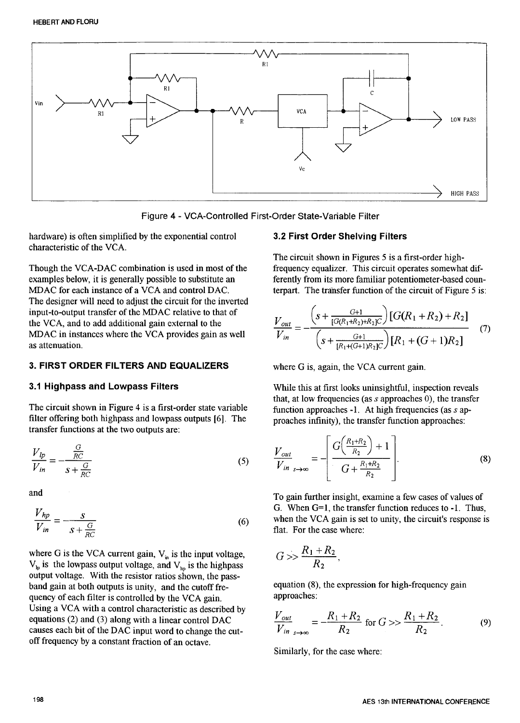

Figure 4 - VCA-Controlled First-Order State-Variable Filter

hardware) is often simplified by the exponential control 3.2 First Order Shelving Filters characteristic of the VCA.

Though the VCA-DAC combination is used in most of the examples below, it is generally possible to substitute an examples below, it is generally possible to substitute an ferently from its more familiar potentiometer-based coun-<br>MDAC for each instance of a VCA and control DAC. terms terms terms function of the circuit of Figure 5 is: The designer will need to adjust the circuit for the inverted<br>input-to-output transfer of the MDAC relative to that of for UCA, and to add additional gain external to the MDAC in instances where the VCA provides gain as well as attenuation, in instances where the VC<sub>A</sub> provides gain as well as  $\binom{S + [R_1 + (G+1)R_2]C}{P_1 + (G+1)R_2}$ 

# 3. FIRST ORDER FILTERS AND EQUALIZERS where G is, again, the VCA current gain.

The circuit shown in Figure 4 is a first-order state variable function approaches -1. At high frequencies (as *s* ap-<br>filter offering both highpass and lowpass outputs [6]. The proaches infinity the transfer function appro transfer functions at the two outputs are:

$$
\frac{V_{lp}}{V_{in}} = -\frac{\frac{G}{RC}}{s + \frac{G}{RC}}
$$
\n(5) 
$$
\frac{V_{out}}{V_{in}} = -\left| \frac{G\left(\frac{V_{in} - V}{R_2}\right) + 1}{G + \frac{R_1 + R_2}{R_2}} \right|
$$

and

$$
\frac{V_{hp}}{V_{in}} = -\frac{s}{s + \frac{G}{RC}}
$$
\n(6)

where G is the VCA current gain,  $V_{in}$  is the input voltage,  $V_{lp}$  is the lowpass output voltage, and  $V_{lm}$  is the highpass output voltage. With the resistor ratios shown, the passband gain at both outputs is unity, and the cutoff fre-<br>quation (8), the expression for high-frequency gain<br>approaches:<br> $\frac{1}{2}$ quency of each filter is controlled by the VCA gain. Using a VCA with a control characteristic as described by equations (2) and (3) along with a linear control DAC equations (2) and (3) along with a linear control DAC  $V = -\frac{V}{R}$  for  $G >> -\frac{R}{R}$  (9) causes each bit of the DAC input word to change the cut-  $V \cdot m_{s \to \infty}$   $R_2$  **R**<sub>2</sub> **R**<sub>2</sub> off frequency by a constant fraction of an octave.

The circuit shown in Figures 5 is a first-order high-<br>frequency equalizer. This circuit operates somewhat difterpart. The transfer function of the circuit of Figure 5 is:

$$
\frac{V_{out}}{V_{in}} = -\frac{\left(s + \frac{G+1}{[G(R_1 + R_2) + R_2]C}\right)[G(R_1 + R_2) + R_2]}{\left(s + \frac{G+1}{[R_1 + (G+1)R_2]C}\right)[R_1 + (G+1)R_2]} \tag{7}
$$

3.1 Highpass and Lowpass Filters While this at first looks uninsightful, inspection reveals that, at low frequencies (as **s** approaches 0), the transfer proaches infinity), the transfer function approaches:

$$
\frac{V_{lp}}{V_{in}} = -\frac{\frac{G}{RC}}{s + \frac{G}{RC}}
$$
\n(5) 
$$
\frac{V_{out}}{V_{in}} = -\left[\frac{G(\frac{R_1 + R_2}{R_2}) + 1}{G + \frac{R_1 + R_2}{R_2}}\right].
$$
\n(8)

To gain further insight, examine a few cases of values of G. When G=I, the transfer function reduces to -1. Thus, when the VCA gain is set to unity, the circuit's response is flat. For the case where:

$$
G >> \frac{R_1 + R_2}{R_2},
$$

$$
\frac{V_{out}}{V_{in}} = -\frac{R_1 + R_2}{R_2} \text{ for } G >> \frac{R_1 + R_2}{R_2}.
$$
 (9)

Similarly, for the case where: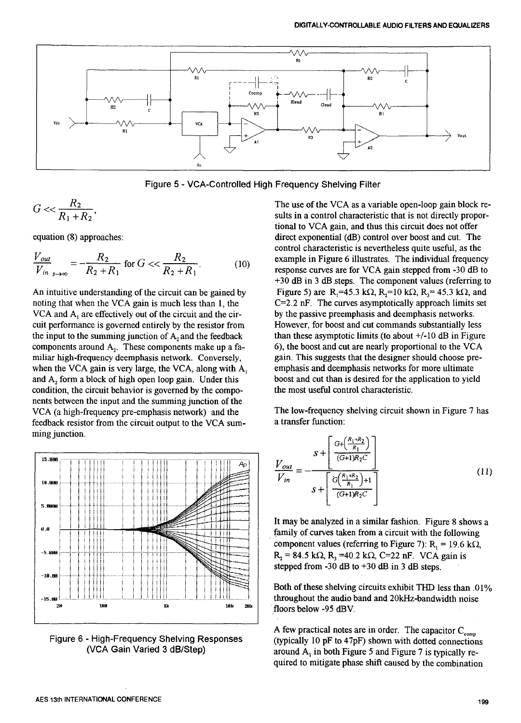

Figure 5 - VGA-Controlled High Frequency Shelving Filter

$$
G \ll \frac{R_2}{R_1 + R_2},
$$

$$
\frac{V_{out}}{V_{in}} = -\frac{R_2}{R_2 + R_1}
$$
 for  $G \ll \frac{R_2}{R_2 + R_1}$ . (10) example in Figure 6 illustrates. The individual frequency response curves are for VCA gain stepped from -30 dB to

noting that when the VCA gain is much less than 1, the  $C=2.2$  nF. The curves asymptotically approach limits set VCA and A, are effectively out of the circuit and the cir-<br>by the passive preemphasis and deemphasis network VCA and  $A_1$  are effectively out of the circuit and the cir-<br>cuit performance is governed entirely by the resistor from However, for boost and cut commands substantially less cuit performance is governed entirely by the resistor from However, for boost and cut commands substantially less<br>the input to the summing junction of A, and the feedback than these asymptotic limits (to about +/-10 dB in the input to the summing junction of  $A_2$  and the feedback than these asymptotic limits (to about  $+/-10$  dB in Figure components around  $A_2$ . These components make up a fa-<br>6), the boost and cut are nearly proportional components around  $A_2$ . These components make up a fa-<br>miliar high-frequency deemphasis network. Conversely, gain. This suggests that the designer should choose premiliar high-frequency deemphasis network. Conversely, gain. This suggests that the designer should choose pre-<br>when the VCA gain is very large, the VCA, along with A, emphasis and deemphasis networks for more ultimate when the VCA gain is very large, the VCA, along with  $A_1$  emphasis and deemphasis networks for more ultimate and  $A_2$  form a block of high open loop gain. Under this boost and cut than is desired for the application to and  $A_2$  form a block of high open loop gain. Under this boost and cut than is desired for the a<br>condition, the circuit behavior is governed by the compo-<br>the most useful control characteristic. condition, the circuit behavior is governed by the components between the input and the summing junction of the VCA (a high-frequency pre-emphasis network) and the The low-frequency shelving circuit shown in Figure 7 has feedback resistor from the circuit output to the VCA sum-<br>a transfer function: feedback resistor from the circuit output to the VCA sum-<br>ming junction.



The use of the VCA as a variable open-loop gain block results in a control characteristic that is not directly proportional to VCA gain, and thus this circuit does not offer equation (8) approaches: direct exponential (dB) control over boost and cut. The control characteristic is nevertheless quite useful, as the +30 dB in 3 dB.steps. The component values (referring to An intuitive understanding of the circuit can be gained by Figure 5) are R,=45.3 k $\Omega$ , R,=10 k $\Omega$ , R<sub>3</sub>= 45.3 k $\Omega$ , and

$$
\frac{V_{out}}{V_{in}} = -\frac{s + \left[\frac{G + \left(\frac{R_1 + R_2}{R_1}\right)}{(G+1)R_2C}\right]}{s + \left[\frac{G\left(\frac{R_1 + R_2}{R_1}\right) + 1}{(G+1)R_2C}\right]}\right] \tag{11}
$$

component values (referring to Figure 7):  $R_1 = 19.6$  k $\Omega$ , stepped from  $-30$  dB to  $+30$  dB in 3 dB steps.

Both of these shelving circuits exhibit THD less than .01% floors below -95 dBV.

A few practical notes are in order. The capacitor  $C_{\text{comm}}$ Figure 6 - High-Frequency Shelving Responses (typically 10 pF to 47pF) shown with dotted connections<br>(VCA Gain Varied 3 dB/Step) around A, in hoth Figure 5 and Figure 7 is typically rearound A<sub>1</sub> in both Figure 5 and Figure 7 is typically required to mitigate phase shift caused by the combination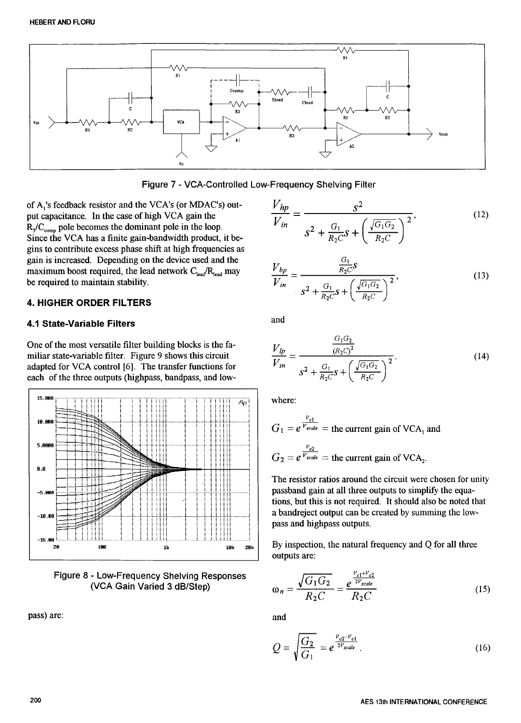

Figure 7 - VCA-Controlled Low-Frequency Shelving Filter

of A<sub>1</sub>'s feedback resistor and the VCA's (or MDAC's) output capacitance. In the case of high VCA gain the  $R_3/C_{\text{comp}}$  pole becomes the dominant pole in the loop. Since the VCA has a finite gain-bandwidth product, it begins to contribute excess phase shift at high frequencies as gain is increased. Depending on the device used and the maximum boost required, the lead network  $C_{\text{lead}}/R_{\text{lead}}$  may be required to maintain stability.

# **4. HIGHER ORDER FILTERS**

### **4.1 State-Variable Filters**

One of the most versatile filter building blocks is the familiar state-variable filter. Figure 9 shows this circuit adapted for VCA control [6]. The transfer functions for each of the three outputs (highpass, bandpass, and low-



Figure 8 - Low-Frequency Shelving Responses (VCA Gain Varied 3 dB/Step)

pass) are:

$$
\frac{V_{hp}}{V_{in}} = \frac{S^2}{S^2 + \frac{G_1}{R_2 C} S + \left(\frac{\sqrt{G_1 G_2}}{R_2 C}\right)^2},
$$
(12)

$$
\frac{V_{bp}}{V_{in}} = \frac{\frac{G_1}{R_2 C} S}{s^2 + \frac{G_1}{R_2 C} S + \left(\frac{\sqrt{G_1 G_2}}{R_2 C}\right)^2},
$$
\n(13)

and

$$
\frac{V_{lp}}{V_{in}} = \frac{\frac{G_1 G_2}{(R_2 C)^2}}{s^2 + \frac{G_1}{R_2 C}s + \left(\frac{\sqrt{G_1 G_2}}{R_2 C}\right)^2}.
$$
\n(14)

where:

$$
G_1 = e^{\frac{V_{c1}}{V_{scale}}} =
$$
 the current gain of VCA<sub>1</sub> and  

$$
G_2 = e^{\frac{V_{c2}}{V_{scale}}} =
$$
 the current gain of VCA<sub>2</sub>.

The resistor ratios around the circuit were chosen for unity passband gain at all three outputs to simplify the equations, but this is not required. It should also be noted that a bandreject output can be created by summing the lowpass and highpass outputs.

By inspection, the natural frequency and Q for all three outputs are:

$$
\omega_n = \frac{\sqrt{G_1 G_2}}{R_2 C} = \frac{e^{\frac{V_{c1} + V_{c2}}{2V_{scale}}}}{R_2 C}
$$
 (15)

and

$$
Q = \sqrt{\frac{G_2}{G_1}} = e^{\frac{V_{c2} - V_{c1}}{2V_{scale}}}.
$$
 (16)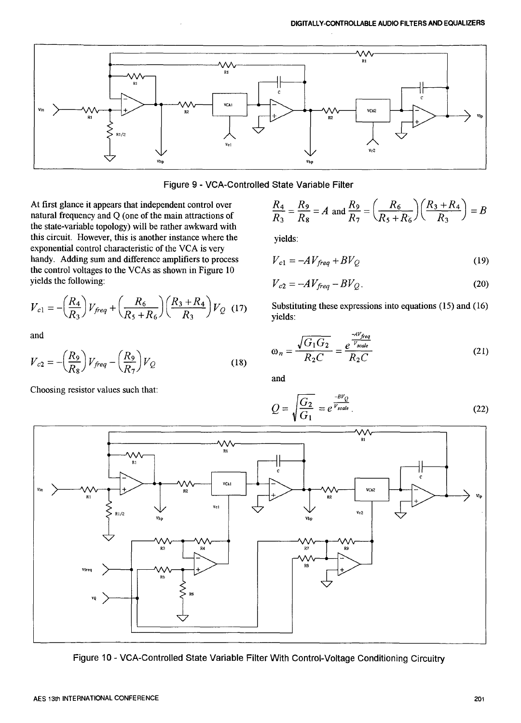



At first glance it appears that independent control over natural frequency and Q (one of the main attractions of the state-variable topology) will be rather awkward with this circuit. However, this is another instance where the exponential control characteristic of the VCA is very handy. Adding sum and difference amplifiers to process the control voltages to the VCAs as shown in Figure 10 yields the following:

$$
V_{c1} = -\left(\frac{R_4}{R_3}\right) V_{freq} + \left(\frac{R_6}{R_5 + R_6}\right) \left(\frac{R_3 + R_4}{R_3}\right) V_Q \tag{17}
$$

and

$$
V_{c2} = -\left(\frac{R_9}{R_8}\right) V_{freq} - \left(\frac{R_9}{R_7}\right) V_Q \tag{18}
$$

Choosing resistor values such that:

$$
\frac{R_4}{R_3} = \frac{R_9}{R_8} = A \text{ and } \frac{R_9}{R_7} = \left(\frac{R_6}{R_5 + R_6}\right) \left(\frac{R_3 + R_4}{R_3}\right) = B
$$

yields:

$$
V_{c1} = -AV_{freq} + BV_Q \tag{19}
$$

$$
V_{c2} = -AV_{freq} - BV_Q. \tag{20}
$$

Substituting these expressions into equations (15) and (16) yields:

$$
\omega_n = \frac{\sqrt{G_1 G_2}}{R_2 C} = \frac{e^{\frac{-A V_{freq}}{V_{scale}}}}{R_2 C}
$$
 (21)

and

$$
Q = \sqrt{\frac{G_2}{G_1}} = e^{\frac{-BV_Q}{V_{scale}}}.
$$
\n(22)



Figure 10 - VCA-Controlled State Variable Filter With Control-Voltage Conditioning Circuitry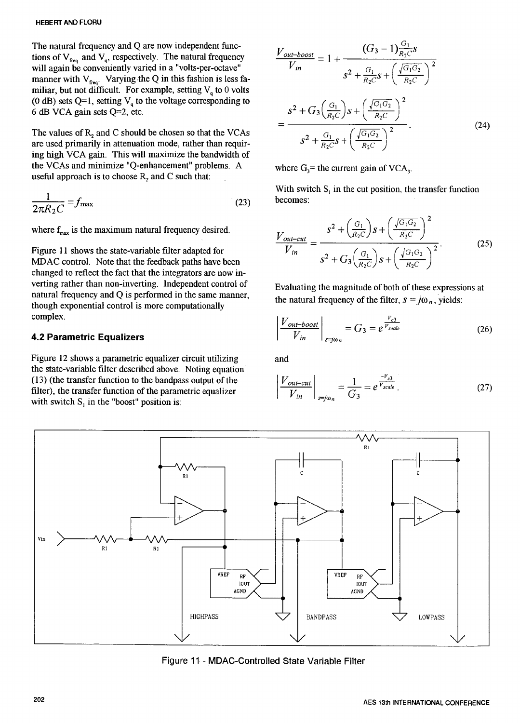The natural frequency and Q are now independent functions of  $V_{\text{freq}}$  and  $V_q$ , respectively. The natural frequency  $\frac{V_{\text{out}-\text{boost}}}{V} = 1 + \frac{V_{\text{avg}}}{V_{\text{avg}}}$ manner with  $V_{\text{free}}$ . Varying the Q in this fashion is less familiar, but not difficult. For example, setting  $V_q$  to 0 volts (0 dB) sets Q=1, setting  $V_q$  to the voltage corresponding to (0 dB)sets Q=I, setting Vq <sup>t</sup>*<sup>o</sup>* the v*o*ltage *c*orresp*o*nding to **(** Gl ) **( Gd**--\_\_2

are used primarily in attenuation mode rather than require  $S^2 + \frac{G_1}{B_2} S + \frac{1}{C_1} \frac{1}{C_2}$ are used primarily in attenuation mode, rather than requirements  $R_2C = \binom{R_2C}{}$ ing high VCA gain. This will maximize the bandwidth of the VCAs and minimize "Q-enhancement" problems. A useful approach is to choose  $R_2$  and C such that:

$$
\frac{1}{2\pi R_2 C} = f_{\text{max}} \tag{23}
$$
 becomes

Figure 11 shows the state-variable filter adapted for MDAC control. Note that the feedback paths have been  $R_2C$   $\left\{ R_2C \right\}$   $\left\{ R_2C \right\}$   $\left\{ R_2C \right\}$ changed to reflect the fact that the integrators are now inverting rather than non-inverting. Independent control of Evaluating the magnitude of both of these expressions at natural frequency and Q is performed in the same manner, natural frequency of the filter,  $s = j\omega_n$ , yields: though exponential control is more computationally<br>complex.

# **4.2 Parametric Equalizers**

Figure 12 shows a parametric equalizer circuit utilizing and the state-variable filter described above. Noting equation**'** (13) (the transfer function to the bandpass output of the filter), the transfer function of the parametric equalizer with switch  $S_1$  in the "boost" position is:

The natural frequency and Q are now independent time-  
\ntions of V<sub>freq</sub> and V<sub>q</sub>, respectively. The natural frequency  
\nwill again be conveniently varied in a "volts-per-octave"  
\nmanner with V<sub>freq</sub>. Varying the Q in this fashion is less fa-  
\nmiliar, but not difficult. For example, setting V<sub>q</sub> to 0 volts  
\n(0 dB) sets Q=1, setting V<sub>q</sub> to the voltage corresponding to  
\n6 dB VCA gain sets Q=2, etc.  
\nThe values of R<sub>2</sub> and C should be chosen so that the VCAs  
\nare used primarily in attenuation mode, rather than require  
\nin a high VCA coin. This will maximize the bandwidth of  
\n
$$
S^2 + \frac{G_1}{R_2C}S + \left(\frac{\sqrt{G_1G_2}}{R_2C}\right)^2
$$
\n
$$
= \frac{S^2 + G_3\left(\frac{G_1}{R_2C}\right)S + \left(\frac{\sqrt{G_1G_2}}{R_2C}\right)^2}{S^2 + \frac{G_1}{R_2C}S + \left(\frac{\sqrt{G_1G_2}}{R_2C}\right)^2}
$$
\n(24)

where  $G_3$ = the current gain of VCA<sub>3</sub>.

With switch  $S<sub>i</sub>$  in the cut position, the transfer function

where 
$$
f_{\text{max}}
$$
 is the maximum natural frequency desired.  
\nFigure 11 shows the state-variable filter adapted for  
\nMDAC control. Note that the feedback paths have been  
\nchannel to reflect the fact that the interstates are now in  
\n
$$
V_{\text{in}} = \frac{S^2 + \left(\frac{G_1}{R_2 C}\right)S + \left(\frac{\sqrt{G_1 G_2}}{R_2 C}\right)^2}{S^2 + G_3\left(\frac{G_1}{R_2 C}\right)S + \left(\frac{\sqrt{G_1 G_2}}{R_2 C}\right)^2}.
$$
\n(25)

though exponential control is more computationally complex.

\n
$$
\left| \frac{V_{out-book}}{V_{in}} \right|_{s=\hat{J}\omega_n} = G_3 = e^{\frac{V_{c3}}{V_{scale}}} \tag{26}
$$

$$
\left| \frac{V_{out-cut}}{V_{in}} \right|_{s=j\omega_n} = \frac{1}{G_3} = e^{\frac{-V_{c3}}{V_{scale}}} \tag{27}
$$



Figure 11 - MDAC-Controlled State Variable Filter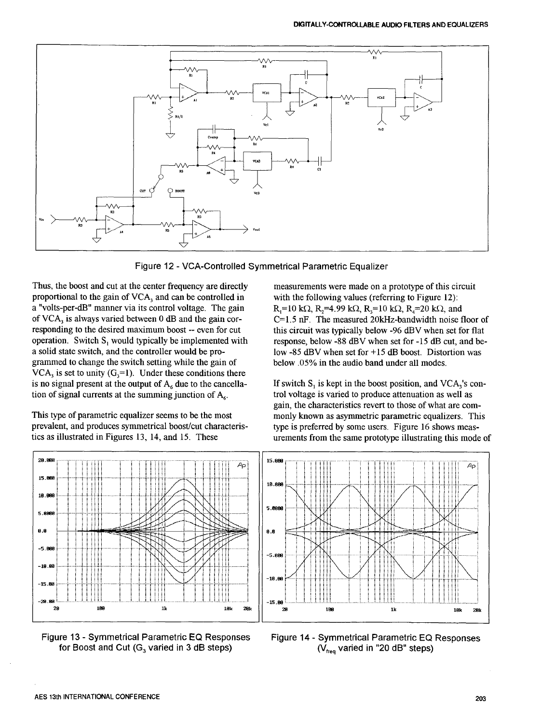

Figure 1**2** - VCA-Oontrolled Symmetrical Parametric Equalizer

Thus, the boost and cut at the center frequency are directly measurements were made on a prototype of this circuit proportional to the gain of VCA, and can be controlled in with the following values (referring to Figure 1 proportional to the gain of  $VCA_3$  and can be controlled in a "volts-per-dB" manner via its control voltage. The gain a "volts-per-dB" manner via its control voltage. The gain  $R_1=10 \text{ k}\Omega$ ,  $R_2=4.99 \text{ k}\Omega$ ,  $R_3=10 \text{ k}\Omega$ ,  $R_4=20 \text{ k}\Omega$ , and of VCA<sub>3</sub> is always varied between 0 dB and the gain cor-<br>C=1.5 nF. The measured 20kHz-bandwi responding to the desired maximum boost -- even for cut this circuit was typically below -96 dBV when set for flat operation. Switch  $S_1$  would typically be implemented with response, below -88 dBV when set for -15 dB cu operation. Switch S<sub>1</sub> would typically be implemented with response, below -88 dBV when set for -15 dB cut, and be-<br>a solid state switch, and the controller would be pro-<br>low -85 dBV when set for +15 dB boost. Distortion w grammed to change the switch setting while the gain of  $VCA<sub>3</sub>$  is set to unity (G<sub>3</sub>=1). Under these conditions there is no signal present at the output of  $A_6$  due to the cancella-<br>tion of  $S_1$  is kept in the boost position, and VCA<sub>3</sub>'s con-<br>tion of signal currents at the summing junction of  $A_6$ .<br>trol voltage is varied to produce a tion of signal currents at the summing junction of  $A<sub>6</sub>$ .

prevalent, and produces symmetrical boost/cut characteristics as illustrated in Figures 13, 14, and 15. These

 $C=1.5$  nF. The measured 20kHz-bandwidth noise floor of low -85 dBV when set for  $+15$  dB boost. Distortion was below  $.05\%$  in the audio band under all modes.

gain, the characteristics revert to those of what are com-This type of parametric equalizer seems to be the most<br>prevalent, and produces symmetrical boost/cut characteris-<br>type is preferred by some users. Figure 16 shows measurements from the same prototype illustrating this mode of





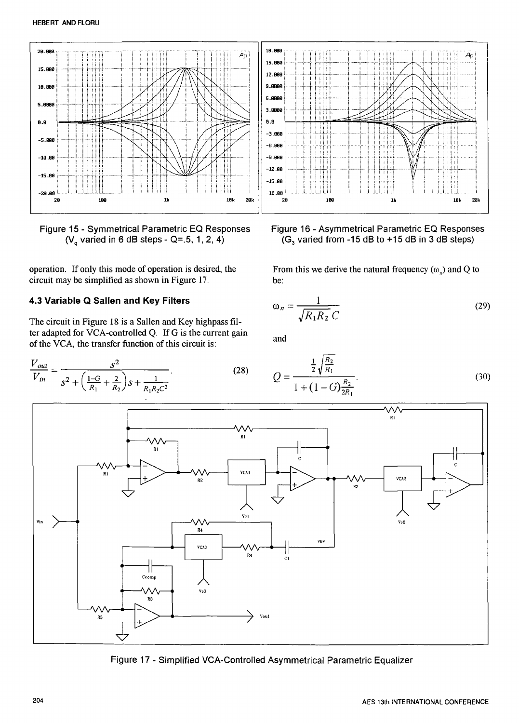

Figure 15 - Symmetrical Parametric EQ Responses ( $V_a$  varied in 6 dB steps - Q=.5, 1, 2, 4)

operation. If only this mode of operation is desired, the circuit may be simplified as shown in Figure 17.

# 4.3 Variable Q Sallen and Key Filters

The circuit in Figure 18 is a Sallen and Key highpass filter adapted for VCA-controlled Q. If G is the current gain of the VCA, the transfer function of this circuit is:

$$
\frac{V_{out}}{V_{in}} = \frac{s^2}{s^2 + \left(\frac{1-G}{R_1} + \frac{2}{R_2}\right)s + \frac{1}{R_1R_2C^2}}.
$$
\n(28)



Figure 16 - Asymmetrical Parametric EQ Responses (G<sub>3</sub> varied from -15 dB to +15 dB in 3 dB steps)

From this we derive the natural frequency  $(\omega_n)$  and Q to be:

$$
\omega_n = \frac{1}{\sqrt{R_1 R_2}} \tag{29}
$$

and

$$
Q = \frac{\frac{1}{2}\sqrt{\frac{R_2}{R_1}}}{1 + (1 - G)\frac{R_2}{2R_1}}\tag{30}
$$



Figure 17 - Simplified VCA-Controlled Asymmetrical Parametric Equalizer